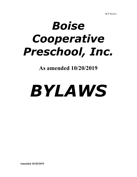# *Boise Cooperative Preschool, Inc.*

**As amended 10/20/2019**

# *BYLAWS*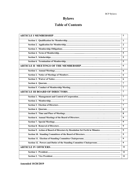# **Bylaws**

### **Table of Contents**

|                                                                            | $\mathbf{1}$            |
|----------------------------------------------------------------------------|-------------------------|
|                                                                            | $\mathbf{1}$            |
|                                                                            | $\overline{2}$          |
|                                                                            | $\overline{\mathbf{3}}$ |
|                                                                            | 5                       |
|                                                                            | 5                       |
|                                                                            | 5                       |
| <u> 1989 - Johann Barn, amerikansk politiker (</u>                         | 6                       |
|                                                                            | 6                       |
|                                                                            | 6                       |
|                                                                            | 6                       |
|                                                                            | $\overline{7}$          |
|                                                                            | $\overline{7}$          |
|                                                                            | 7                       |
|                                                                            | $\overline{7}$          |
|                                                                            | $\overline{7}$          |
|                                                                            | 7                       |
|                                                                            | 8                       |
|                                                                            | 8                       |
|                                                                            | 9                       |
|                                                                            | 9                       |
|                                                                            | 9                       |
| Section 9. Action of Board of Directors by Resolution Set Forth in Minutes | 9                       |
|                                                                            | 9                       |
|                                                                            | 9                       |
| Section 12. Powers and Duties of the Standing Committee Chairpersons       | 9                       |
|                                                                            | 11                      |
|                                                                            | 11                      |
|                                                                            | 11                      |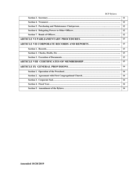|  | BCP Bylaws |
|--|------------|
|--|------------|

| and the control of the control of the control of the control of the control of the control of the control of the     | 11 |
|----------------------------------------------------------------------------------------------------------------------|----|
|                                                                                                                      | 12 |
|                                                                                                                      | 12 |
|                                                                                                                      | 12 |
|                                                                                                                      | 12 |
|                                                                                                                      | 13 |
|                                                                                                                      | 13 |
|                                                                                                                      | 13 |
| and the control of the control of the control of the control of the control of the control of the control of the     | 13 |
|                                                                                                                      | 13 |
|                                                                                                                      | 13 |
| <u> 1989 - Johann Barn, amerikan besteman besteman besteman besteman besteman besteman besteman besteman bestema</u> | 14 |
|                                                                                                                      | 14 |
|                                                                                                                      | 14 |
|                                                                                                                      | 14 |
|                                                                                                                      | 14 |
|                                                                                                                      | 14 |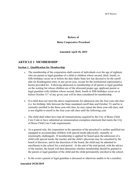## **Bylaws of**

#### **Boise Cooperative Preschool**

#### **Amended April 18, 2015**

#### **ARTICLE I MEMBERSHIP**

#### **Section 1. Qualification for Membership**

- a. The membership of the corporation shall consist of individuals over the age of eighteen who are parent or legal guardian of a child or children whose second, third, fourth, or fifth birthdays occur on or before the date Idaho State law has decreed to be the cutoff date for Kindergarten entry in any given year, except for the institutional representative herein provided for. Following admission to membership of all parent or legal guardian on the waiting list whose children are of the aforesaid proper age, applicant parent or legal guardian with children whose second, third, fourth or fifth birthdays occur on or before October 31<sup>st</sup> of any given year will be then considered for membership.
- b. If a child does not meet the above requirements for admission into the four-year-old class (i.e. his birthday falls between the State mandated cutoff date and October 31) and he is currently enrolled in the three-year-old class, he may repeat the three-year-old class, and is not eligible to enroll in the four-year-old class until the following year.
- c. The child shall either have had all immunizations required by the City of Boise Child Care Code or have submitted an immunization exemption statement that meets the City of Boise Child Care Code requirements.
- d. As a general rule, the corporation in the operation of the preschool is neither qualified nor equipped to accommodate children with special needs (physically, mentally or emotionally challenged). If membership is applied for based upon the admission of a child with special needs, the teacher and the child's physician may be consulted by the board of directors, and in the discretion of the board, the child may be admitted to enrollment in the school for a trial period. At the end of the trial period, with the advice of the teacher, the board will then determine whether membership should be granted to the parent or legal guardian of the child and the child permanently enrolled in the school.
- e. In the event a parent or legal guardian is deceased or otherwise unable to be a member,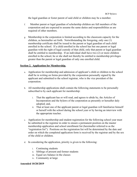the legal guardian or foster parent of said child or children may be a member.

- f. Member parent or legal guardian of scholarship children are full members of the corporation and are expected to assume the same duties and responsibilities as are required of other members.
- g. Membership in the corporation is limited according to the classroom capacity for the children, as hereinafter set forth. Notwithstanding the foregoing, only one (1) membership certificate shall be issued to the parent or legal guardian of each child enrolled in the school. If a child enrolled in the school has but one parent or legal guardian with the right of legal custody of that child, only that parent or legal guardian shall be entitled to membership. If an individual shall have two (2) or more children enrolled in the school, he or she shall not thereby be entitled to membership privileges greater than the parent or legal guardian of only one enrolled child.

#### **Section 2. Application for Membership.**

- a. Application for membership and admission of applicant's child or children to the school shall be in writing on forms provided by the corporation personally signed by the applicant and submitted to the school registrar, who is the vice president of the corporation.
- b. All membership applications shall contain the following statements to be personally subscribed to by each applicant for membership:
	- i. That the applicant has or will read, and agrees to abide by, the Articles of Incorporation and the bylaws of the corporation as presently or hereafter duly adopted; and,
	- ii. That at least one of the applicant parent or legal guardian will familiarize himself or herself with the school during the school year or by having an interview with the appropriate teacher.
- c. Application for membership and student registration for the following school year must be submitted to the registrar in order to ensure a permanent position on the master membership application and school enrollment list (hereinafter referred to as the "registration list"). Positions on the registration list will be determined by the date and order on which the completed application form is received by the registrar and by the sex of the child or children.
- d. In considering the application, priority is given to the following:
	- i. Continuing students
	- ii. Siblings of present and former students
	- iii. Equal sex balance in the classes
	- iv. Community at large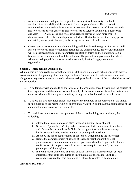- e. Admission to membership in the corporation is subject to the capacity of school enrollment and the ability of the school to form complete classes. The school will accommodate no more than three classes of two-year olds, two classes of three-year-olds and two classes of four-year-olds, and two classes of Science Technology Engineering Art Math (STEAM) classes, and two extracurricular classes with no more than 18 children in each class. Membership may be further affected by the fact that it may prove unfeasible, in any particular year, to form any one or more of said classes.
- f. Current preschool students and alumni siblings will be allowed to register for the next fall session two weeks prior to open registration for the general public. However, enrollment will be accepted upon receipt of completed registration forms and registration fee on a first-come basis, and no child shall be automatically guaranteed a position in the school. All membership qualifications as stated in Article I, Section 1, apply to alumni registration.

#### **Section 3. Membership Obligations.**

All members are required to perform the following duties and obligations, which constitute material consideration for the granting of membership. Failure of any member to perform said duties and obligations may result in termination of said membership, at the discretion of the board of directors of the corporation.

- a. To be familiar with and abide by the Articles of Incorporation, these bylaws, and the policies of this corporation and the school, as established by the board of directors from time to time, and notice of which policies is given in writing through the school newsletter or otherwise.
- b. To attend the two scheduled annual meetings of the members of the corporation: the annual spring meeting of the membership on approximately April 15 and the annual fall meeting of the membership on approximately October 15.
- c. To participate in and support the operation of the school by doing, as a minimum, the following:
	- i. Attend the orientation to each class in which a member has a student;
	- ii. Serve as a "parent helper" at specified times as set forth on a roster of members; and if a member is unable to fulfill her/his assigned turn, she/he must arrange her/his substitution by another member or by the paid substitute.
	- iii. Abide by the health requirements of the school, which include the following:
	- iv. Before the commencement of school, at least one member parent or legal guardian of each student must submit a report on said student's general health and confirmation of completion of all inoculations as required Article 1, Section 1, paragraph c of these bylaws.
	- v. If a child shows symptoms of a cold or other illness, the member parent or legal guardian of that child is required to keep that child out of school until he is reasonably assured that said symptoms or illness has abated. The child may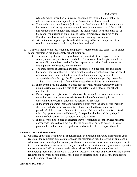return to school when her/his physical condition has returned to normal, or as otherwise reasonably acceptable for her/his contact with other children.

- vi. The member is required to notify the teacher if and when a child has contracted or has been exposed to any communicable disease (e.g. chickenpox). After a child has contracted a communicable disease, the member shall keep said child out of the school for a period of time equal to that recommended or required by the Board of Health rules and recommendations governing this subject.
- vii. Attend the meetings and perform the duties assigned by the chairperson of the standing committee to which they have been assigned.
- d. To pay all membership fees when due and payable. Membership fees consist of an annual school registration fee and monthly school tuition fees.
	- i. The annual registration fee is payable at the time students are registered in the school, at any date, and is not refundable. The amount of said registration fee is set annually by the board and is for the purpose of providing funds to cover the initial purchase of supplies and insurance.
	- ii. The membership is assessed a monthly tuition fee on a per-student basis during the school months of the year. The amount of said fee is set annually by the board of directors and is due on the first day of each month, and payment will be accepted therefore through the  $5<sup>th</sup>$  day of each month without penalty. After the 5<sup>th</sup> day of the month, a \$20 fine will be assessed on each late tuition payment.
	- iii. In the event a child is unable to attend school for any reason whatsoever, tuition must nevertheless be paid if said child is to retain her/his place in the school enrollment.
	- iv. Failure to pay the registration fee, the monthly tuition fee, or any late assessment on tuition fees, constitutes grounds for termination of membership in the discretion of the board of directors, as hereinafter provided.
	- v. In the event a member intends to withdraw a child from the school, said member should give thirty days' written notice of said intent to the registrar (vice president) of the school. If such written notice of student withdrawal is received thirty days prior to actual withdrawal, all prepaid tuition beyond thirty days from the date of withdrawal will be refunded to said member.
	- vi. In its discretion, the board of directors may by resolution accept services rendered and/or costs incurred by a member for the corporation or to its benefit in lieu of payment by said member of registration and/or tuition fees, or a part thereof.

#### **Section 4. Term of Membership.**

a. Qualified applicants from the registration list shall be deemed admitted to membership upon receipt of the completed application form and the registration fee. Following an applicant's admission to membership, the secretary of the corporation shall cause a membership certificate in the name of the new member to be duly executed by the president and by said secretary, with the corporate seal affixed thereto, and said certificate delivered to said member. All memberships terminate at the end of the day on October 14 of each and every year and may be renewed for one year by resolution of the board of directors on the basis of the membership priorities herein above set forth.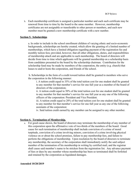b. Each membership certificate is assigned a particular number and each such certificate may be renewed from time to time by the board to the same member. However, membership certificates are not assignable or transferable to other person or members, and each new member must be granted a new membership certificate with a new number.

#### **Section 5. Scholarships**

a. In order to include in the school enrollment children of varying ethnic and socio-economic backgrounds, scholarships are hereby created, which allow the granting of a limited number of memberships, which have a limited obligation regarding payment of the registration fee and monthly tuition fees; provided, however, that all other obligations, duties, and responsibilities of membership attach and are applicable to such membership. The board of directors will decide from time to time which applicants will be granted membership on a scholarship basis from candidates presented to the board by the scholarship chairman. Contribution for the scholarship fund may be made by members of the corporation, the entity (e.g. church) that leases to and/or hosts the corporation, and friends of the school.

 b. Scholarships in the form of a credit toward tuition shall be granted to members who serve the corporation in the following manner:

i. A tuition credit equal to 35% of the total tuition cost for one student shall be granted to any member for that member's service for one full year as a member of the board of directors of the corporation;

ii. A tuition credit equal to 50% of the total tuition cost for one student shall be granted to any member for that member's service for one full year as any one of the following officers of the corporation: President and Vice President.

iii. A tuition credit equal to 20% of the total tuition cost for one student shall be granted to any member for that member's service for one full year as any one of the following assistants of the corporation:

iv. Said tuition credit earned by any member can be assigned to any other member.

#### **Section 6. Termination of Membership.**

a. For good cause shown, the board of directors may terminate the membership of any member of this corporation upon the affirmative vote of two-thirds of the members of the board. Good cause for such termination of membership shall include conviction of a crime of moral turpitude, conviction of a crime involving minors, conviction of a crime involving physical violence on or about the school premises, failure to pay membership fees, and failure to perform the obligations of membership. Upon resolution by the board of directors to terminate any membership, the secretary of the corporation shall immediately notify the said subject member of the termination of his membership in writing by certified mail, and the registrar shall cause said member's name to be stricken from the registration list. Any advance payment of fees or dues by any member whose membership has been so terminated shall be forfeited and retained by the corporation as liquidated damages.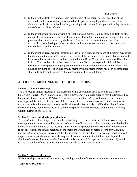- b. In the event of death of a student, said membership of the parent or legal guardian of the deceased child is automatically terminated, if the parent or legal guardian have no other children enrolled in the school, and any and all prepaid tuition fees beyond thirty days from the date of death shall be refunded.
- c. In the event of termination of parent or legal guardian membership by reason of death or other unexpected circumstances, the enrollment status of a student or students of said parent or legal guardian shall be determined by the board of directors in its discretion and use of an extraordinary scholarship may be considered and implemented, anything to the contrary in these bylaws notwithstanding.
- d. In the event of irreconcilable intolerable behavior of a student, the board of directors may expel the child upon the affirmative vote of two-thirds of the members of the board. Expulsion shall be in compliance with the procedures outlined in the Boise Cooperative Preschool Discipline Policy. The membership of the parent or legal guardian of the expelled child shall be terminated, if the parent or legal guardian have no other children enrolled in the school. Any advance payment of fees or dues by any member whose memberships has been so terminated shall be forfeited and retained by the corporation as liquidated damages.

#### **ARTICLE II MEETINGS OF THE MEMBERSHIP.**

#### **Section 1. Annual Meetings.**

The two regular annual meetings of the members of this corporation shall be held in the Trinity Fellowship Church, 300 N. Latah, Boise, Idaho, 83706, or at such other place as may be designated by the president, on or near the  $15<sup>th</sup>$  day of April and on or near the  $15<sup>th</sup>$  day of October. Such annual meetings shall be held for the election of directors and for the transaction of such other business as may come before the meeting, as more specifically hereinafter provided. All business lawful to be transacted at any membership meeting, general or special, may be transacted at any annual meeting without further or special notice.

#### **Section 2. Notice of Meetings of Members.**

Ten days' notice of meetings of the members shall be given to all members entitled to vote at any such meeting in the manner required by the laws of the State of Idaho, but such notice may be waived either before or after the holding of the meeting, unless otherwise provided in the Articles of Incorporation. If, for any reason, the annual meetings of the members are not held as herein before provided, they may be called as soon as in convenient, by the president of the directors. The secretary shall also call a special meeting of the members at the request of twenty percent of the total membership, if the election of directors has not been held as herein before provided for a period of eighteen (18) months for the transaction of any business that may be considered at an annual meeting.

#### **Section 3. Waiver of Notice.**

Whenever all parties entitled to vote at any meeting, whether of directors or members, consent either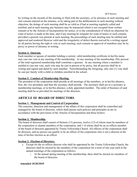by writing on the records of the meeting or filed with the secretary, or by presence at such meeting and oral consent entered on the minutes, or by taking part in the deliberations at such meeting without objection, the doings of such meeting shall be as valid as if had at meeting regularly called and notified, and at such meeting any business may be transacted which is not excepted from written consent or by the Articles of Incorporation for notice, or to the consideration of which no objection for want of notice is made at the time, and if any meeting be irregular for want of notice or such consent, provided a quorum was present at such meeting, the proceedings of such meeting may be ratified and approved and rendered likewise valid and the irregularity of defect therein waived by a writing signed by all parties having the right to vote at such meeting; such consent or approval of members may be by proxy or power of attorney in writing.

#### **Section 4. Quorum.**

Each member or spouse of member holding a current, valid membership certificate in her/his name may cast one vote at any meeting of the membership. At any meeting of the membership, fifty percent of the total registered membership shall constitute a quorum. At any meeting where a member is entitled to cast one vote, such vote may be cast in person or by proxy, but all proxies shall be in writing and signed and dated by such member. Notwithstanding the foregoing, only one (1) vote shall be cast per family with a child or children enrolled in the school.

#### **Section 5. Conduct of Membership Meeting.**

The president of the corporation shall preside at all meetings of the members, or in her/his absence, first, the vice president, and then the secretary shall preside. The secretary shall act as a secretary at membership meetings, or in her/his absence, a duly appointed member. The order of business of said meeting shall be as provided for meetings of the directors.

#### **ARTICLE III BOARD OF DIRECTORS**

#### **Section 1. Management and Control of Corporation.**

The concerns, direction and management of the affairs of this corporation shall be controlled and managed by the board of directors, which shall pursue such policies and principles as are in accordance with the provisions of the Articles of Incorporation and these bylaws.

#### **Section 2. Membership.**

The board of directors shall consist of thirteen (13) persons, twelve (12) of whom must be members of the corporation or alumni members of the corporation, and 1 of whom shall be an ex-officio member of the board of directors appointed by Trinity Fellowship Church. All officers of the corporation shall be directors, and no person can qualify to be an officer of the corporation who is not a director at the time of his/her election as an officer.

#### **Section 3. Election of Directors.**

- a. Except for the ex-officio director who shall be appointed by the Trinity Fellowship Church, the directors shall be elected by the members of the corporation for a term of one year each at the annual meetings of the corporation as follows:
	- i. At the annual spring meeting of the membership, there shall be elected six members of the board of directors.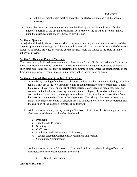- ii. At the fall membership meeting there shall be elected six members of the board of directors.
- b. Vacancies occurring between meetings may be filled by the remaining directors for the unexpired portion of the vacant directorship. A vacancy on the board of directors shall exist upon the death, resignation, or removal of any director.

#### **Section 4. Quorum.**

A majority of the duly elected directors shall constitute a quorum, and the acts of a majority of the directors present at a meeting at which a quorum is present shall be the acts of the board of directors, except as otherwise provided herein and except in cases where the statues of the State of Idaho otherwise provide.

#### **Section 5. Time and Place of Meetings.**

The directors may hold their meetings at such places in the State of Idaho or outside the State as the board may from time to time determine. The board may establish regular meetings to be held at such other places and times as may be determined from time to time. After the establishment of the time and place for such regular meetings, no further notice thereof need be given.

#### **Section 6. Annual Meetings of the Board of Directors.**

- a. A mandatory meeting of the board of directors shall be held immediately following, or within ten days of, each of the two annual meetings of the membership of the corporation. Unless the directors have by call or waiver of notice therefore convened and organized, they must convene on the tenth day following their election, at 5:00 p.m. of that day, at the office of the corporation at Boise, Idaho, and organize said board of directors for the transaction of any business pertaining to the affairs of the corporation. The principal business of these two annual meetings of the board of directors shall be to elect the officers of the corporation and the chairmen of the standing committees, as follows:
- b. At the annual mandatory spring meeting of the board of directors, the following officers and chairpersons of the corporation shall be elected:
	- i. President;
	- ii. Vice President/Registrar;
	- iii. Secretary;
	- iv. Co-Treasurers;
	- v. Purchasing and Maintenance Chairperson;
	- vi. Teacher Selection/Curriculum Development Chairperson.
	- vii. Community Administrator
- c. At the annual mandatory fall meeting of the board of directors, the following officers and chairpersons of the corporation shall be elected:
	- i. Social Chairperson;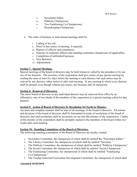- ii. Newsletter Editor;
- iii. Publicity Chairperson;
- iv. Two Fundraising Co-Chairpersons;
- v. Housekeeping Chairperson.
- d. The order of business at such annual meetings shall be:
	- i. Calling of the roll;
	- ii. Proof of due notice of meeting, if required;
	- iii. Reports of officers and committees;
	- iv. Election of corporate officers and standing committee chairpersons (if applicable);
	- v. Completion of unfinished business;
	- vi. New Business;
	- vii. Adjournment.

#### **Section 7. Special Meetings.**

Special meetings of the board of directors may be held whenever called by the president or by any two of the directors. The secretary of the corporation shall give notice of any special meeting by mailing the same at least five days before the meeting to each director, but such notice may be waived by any director, either before or after said meeting. At any meeting at which every director shall be present, even though without any notice, any business may be transacted.

#### **Section 8. Removal of Directors.**

The entire board of directors or any individual director may be removed from office by an affirmative vote of two-thirds of the members of the corporation at a special meeting called for that purpose.

#### **Section 9. Action of Board of Directors by Resolution Set Forth in Minutes.**

Accurate and complete minutes shall be kept of all meetings of the board of directors. All actions and decisions of the board of directors shall be formulated in terms of resolutions of the board of directors, and said resolutions shall be accurately set out into the minutes of the corporation. Copies of the minutes of the corporation shall be promptly mailed to the members of the board within two weeks after each meeting.

#### **Section 10. Standing Committees of the Board of Directors.**

The following standing committees of the Board of Directors are hereby created:

- a. Newsletter Committee, the chairperson of which shall be entitled the "Newsletter Editor."
- b. The Library Committee, the chairperson of which shall be entitled "Secretary."
- c. The Publicity Committee, the chairperson of which shall be entitled "Publicity Chairperson."
- d. The Social Committee, the chairperson of which shall be entitled "Social Chairperson."
- e. The Fundraising Committee, the chairpersons of which shall be entitled "Fundraising Co-Chairpersons."
- f. The Teacher Selection/Curriculum Development Committee, the chairperson of which shall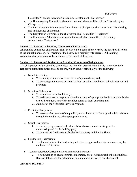be entitled "Teacher Selection/Curriculum Development Chairperson."

- g. The Housekeeping Committee, the chairperson of which shall be entitled "Housekeeping Chairperson."
- h. The Purchasing and Maintenance Committee, the chairperson shall be entitled " Purchasing and maintenance chairperson."
- i. The Registration Committee, the chairperson shall be entitled " Registrar."
- j. The Community Administration Committee which shall be entitled " Community Administrator Chairperson"

#### **Section 11. Election of Standing Committee Chairpersons.**

All standing committee chairpersons shall be elected to a term of one year by the board of directors at the annual mandatory fall meeting of the board, by a majority vote thereof. All standing committee chairpersons must be members of the board of directors.

#### **Section 12. Powers and Duties of the Standing Committee Chairpersons.**

The chairpersons of the standing committees are herewith granted the authority to exercise their respective committee duties and obligations, which consist principally of the following:

- a. Newsletter Editor:
	- i. To compile, edit and distribute the monthly newsletter; and,
	- ii. To encourage attendance of parent or legal guardian members at school meetings and activities.
- b. Secretary (Librarian):
	- i. To administer the school library;
	- ii. To assist teachers in keeping a changing variety of appropriate books available for the use of the students and of the member parent or legal guardian; and,
	- iii. Administer the Scholastic Services Program.
- c. Publicity Chairperson:
	- i. To serve as chairperson of the publicity committee and to foster good public relations through the media and other appropriate means.
- d. Social Chairperson.
	- i. To arrange programs and refreshments for the two annual meetings of the membership and for the holiday party.
	- ii. To oversee the Chairpersons for the Holiday Party and the Art Show.
- e. Fundraising Chairperson:
	- i. To plan and administer fundraising activities as approved and deemed necessary by the board of directors.
- f. Teacher Selection/Curriculum Development Chairperson:
	- i. To nominate up to seven committee members, one of which must be the Institutional Representative, and the selection of said members subject to board approval;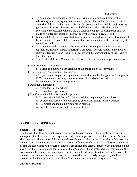- ii. To administer the termination of contracts with teachers and to administer the advertising, interviewing and selection of applicants for teaching positions. The authority of the committee to exercise the foregoing functions shall be subject to any guidance or direction given by the board of directors. Final selection, notice of selection to the chosen applicant, and the offer of a contract to such person shall be made only after said selection is approved by the board of directors; and,
- iii. Matters related to the terms of the teaching contract, including payment of salary shall be reserved in the board of directors and shall not be a matter for determination by the committee; and,
- iv. To administer and arrange for substitute teachers for the preschool in the advent teachers are absent or unable to perform their duties. Matters related to payment of substitute teacher's salaries shall be in accord with the current policy of the Board of Directors; and,
- v. The Teacher Selection Chairperson will oversee the Curriculum support committee.
- g. Housekeeping Chairperson:
	- i. To arrange a monthly deep cleaning of the preschool by parent volunteers.
- h. Purchasing and Maintenance Chairperson:
	- i. To purchase or acquire all regular and extraordinary school supplies and equipment.
	- ii. To keep outdoor pathways free from snow, ice and other hazards.
	- iii. To outdoor space and equipment.
- i. Registrar Chairperson:
	- i. To lead tours of the school.
	- ii. To maintain registration table.
- j. The Community Administrator Chairperson:
	- i. To oversee a Scheduler to facilitate scheduling helper days for all classes
	- ii. Oversee and complete all background checks for helpers in the classroom.
	- iii. Complete and maintain immunization records.
	- iv. Provide email support and web administration.

#### **ARTICLE IV OFFICERS**

#### **Section 1. President.**

The President shall be the chief executive officer of the corporation. She/he shall have general management of the affairs of the corporation and general supervision of the other officers. She/he shall preside at all meetings of the membership of the corporation and at all meetings of the board of directors, but may delegate this function to another officer as she/he sees fit. She/he shall see that all orders and resolutions of the board of directors are carried into effect, subject to any limitation on the powers of the corporation and the Articles of Incorporation. She/he shall execute in the name of the corporation all contracts, membership certificates, and other documents authorized by the board of directors, except in cases where the execution thereof shall be expressly delegated by the board of directors or by these bylaws to some other officer, agent, or committee chairperson of the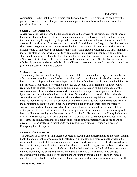corporation. She/he shall be an ex-officio member of all standing committees and shall have the general powers and duties of supervision and management normally vested in the office of the president of a corporation.

#### **Section 2. Vice President.**

A vice president shall perform the duties and exercise the powers of the president in the absence of the president, on in the event of the president's inability or refusal to act. She/he shall perform all of the duties that may be required by the president or as may be impressed upon him by the board of directors in the absence of the president, as aforesaid. In addition to the foregoing, the vice president shall serve as registrar of the school operated by the corporation and in that capacity shall keep an official record of student registration information, including student enrollment, and shall maintain a master registration list, showing priority of applicants for membership in the corporation. She/he shall handle and process all applications for membership and shall present all bona fide applications of the board of directors for the consideration as the board may request. She/he shall administer the scholarship program and select scholarship candidates to present to the board scholarship committee (president, treasurer, and vice president).

#### **Section 3. Secretary.**

The secretary shall attend all meetings of the board of directors and all meetings of the membership of the corporation and act as clerk of such meetings and record all votes. She/he shall prepare and keep minutes of all proceedings, including all resolutions of the board of directors, in a book kept for that purpose. She/he shall perform like duties for the executive and standing committees when required. She/He shall give, or cause to be given, notice of meetings of the membership of the corporation and of the board of directors when such notice is required to be given under these bylaws or any resolution of the board of directors. She/he shall have custody of the seal of the corporation and affix and attest the seal to all authorized documents requiring said seal. She/he shall keep the membership ledger of the corporation and cancel and issue new membership certificates of the corporation as required, and in general perform the duties usually incident to the office of secretary, and such further duties as shall from time to time be prescribed by the board of directors or the president. Such further duties include posting a copy of the minutes of all membership and board of directors meetings on the parent or legal guardian' bulletin board at the Trinity Fellowship Church in Boise, Idaho; conducting and maintaining copies of all correspondence delegated by the president; and administering the roll call at all meetings of the membership and of the board of directors. He/she shall assign members to their standing committees. He/she shall oversee Emergency Parent Helpers.

#### **Section 4. Co-Treasurers.**

The treasurer shall keep full and accurate account of receipts and disbursements of the corporation in books belonging to the corporation, and shall deposit all moneys and other valuable effects in the name and to the credit of the corporation in such banks and depositories as may be designated by the board of directors, but shall not be personally liable for the safekeeping of any funds or securities so deposited pursuant to the order by the board. She/he shall distribute the funds of the corporation as may be ordered by the board of directors, including the paying of all salaries, fixed charges authorized by the board, and bills for equipment and supplies presented in the regular course of operation of the school. In making such disbursement, she/he shall take proper vouchers and shall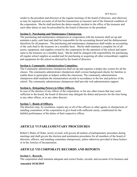render to the president and directors at the regular meetings of the board of directors, and otherwise as may be required, accounts of all her/his transactions as treasurer and of the financial condition of the corporation. She/he shall perform the duties usually incident to the office of the treasurer and such other duties as may be prescribed by the board of directors or the president.

#### **Section 5. Purchasing and Maintenance Chairperson.**

The purchasing and maintenance chairperson in cooperation with the treasurer shall set up and maintain a petty cash fund and shall be responsible for the accounting thereof and the disbursement therefrom for all purposes. The purchasing and maintenance chairperson shall render an accounting of the cash fund to the treasurer on a monthly basis. She/he shall maintain a complete list of all assets, equipment, and supplies owned by the corporation for the operation of the school and report same to the treasurer on a monthly basis. She/he shall be charged with responsibility for purchasing all regular school supplies as needed and for purchasing or acquiring all other extraordinary supplies and equipment for the school as directed by the board of directors.

#### **Section 6. Community Administration Committee.**

The Community administrator chairperson shall set up and organize a helper day system for all the classes. The community administrator chairperson shall oversee background checks for families to enable them to participate as helpers within the classroom. The community administration chairperson shall maintain the immunization records in accordance to the law and policies of the school. The community administrator chairperson shall provide web administration support.

#### **Section 6. Delegating Powers to Other Officers.**

In case of the absence of any officer of the corporation, or for any other reason that may seem sufficient to the board, the board of directors may delegate his duties and powers for the time being to any other officer, or to any other director.

#### **Section 7. Bonds of Officers.**

The directors may, by resolution, require any or all of the officers or other agents or chairpersons of standing committees of the corporation to give bond with sufficient surety, conditioned for the faithful performance of the duties of their respective offices.

#### **ARTICLE VI PARLIAMENTARY PROCEDURES**

Robert's Rules of Order, newly revised, will govern all matters of parliamentary procedure during meetings and shall govern the election and nomination procedures for all members of the board of directors, officers, and standing committee chairpersons, unless otherwise provided in these bylaws or in the Articles of Incorporation.

#### **ARTICLE VII CORPORATE RECORDS AND REPORTS**

#### **Section 1. Records.**

The corporation shall maintain adequate and correct books, records, and accounts of its business and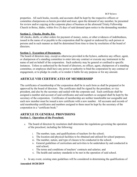properties. All such books, records, and accounts shall be kept by the respective officers or committee chairpersons as herein provided and must, upon the demand of any member, be presented for review and/or copying at the corporate place of business at the aforesaid Trinity Fellowship Church in Boise, Idaho, within five (5) days of said demand upon notice to the demanding member.

#### **Section 2. Checks, Drafts, Etc.**

All checks, drafts, or other orders for payment of money, notes, or other evidences of indebtedness, issued in the name of or payable to the corporation shall be signed or endorsed by such person or persons and in such manner as shall be determined from time to time by resolution of the board of directors.

#### **Section 3. Execution of Documents.**

The board of directors may, except as otherwise provided in the bylaws, authorize any officer, agent, or chairperson of a standing committee to enter into any contract or execute any instrument in the name of and on behalf of the corporation. Such authority may be general or confined to specific instances. Unless so authorized by the board of directors, no officer, agent, chairperson of a standing committee, or employee shall have any power or authority to bind the corporation by any contract or engagement, or to pledge its credit, or to render it liable for any purpose or for any amount.

#### **ARTICLE VIII CERTIFICATES OF MEMBERSHIP**

The certificates of membership of the corporation shall be in such form as shall be prepared or be approved by the board of directors. The certificates shall be signed by the president, or vice president, and also by the secretary and sealed with the corporate seal. Each certificate shall be assigned a number and account of said certificates and said numbers so assigned shall be kept by the secretary of the corporation. Certificates of membership are neither transferable nor assignable and each new member must be issued a new certificate with a new number. All accounts and records of said membership certificates and numbers assigned to them must be kept by the secretary of the corporation in a "certificate book."

#### **ARTICLE IX GENERAL PROVISIONS Section 1. Operation of the Preschool.**

- a. The board of directors by resolution shall determine the regulations governing the operation of the preschool, including the following:
	- i. The number, type, and qualifications of teachers for the school;
	- ii. The location and physical facilities to be obtained and utilized for school purposes;
	- iii. The number, nature, and type of classes to be conducted in the school;
	- iv. General guidelines of curriculum and activities to be undertaken by and conducted in said school;
	- v. The terms and conditions of teachers' contracts and salaries; and
	- vi. The health and sanitary standards to be met in the operation of said school.
- b. In any event, existing state guidelines will be considered in determining the qualifications of